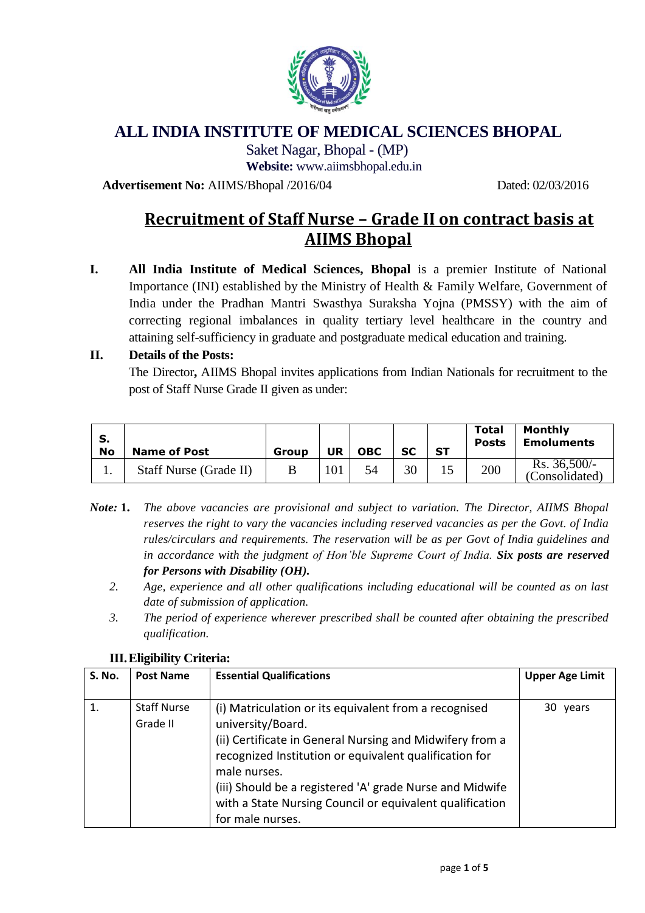

## **ALL INDIA INSTITUTE OF MEDICAL SCIENCES BHOPAL**

Saket Nagar, Bhopal - (MP)

**Website:** [www.aiimsbhopal.edu.in](http://www.aiimsbhopal.edu.in/) 

**Advertisement No:** AIIMS/Bhopal /2016/04 Dated: 02/03/2016

# **Recruitment of Staff Nurse – Grade II on contract basis at AIIMS Bhopal**

**I. All India Institute of Medical Sciences, Bhopal** is a premier Institute of National Importance (INI) established by the Ministry of Health & Family Welfare, Government of India under the Pradhan Mantri Swasthya Suraksha Yojna (PMSSY) with the aim of correcting regional imbalances in quality tertiary level healthcare in the country and attaining self-sufficiency in graduate and postgraduate medical education and training.

### **II. Details of the Posts:**

The Director**,** AIIMS Bhopal invites applications from Indian Nationals for recruitment to the post of Staff Nurse Grade II given as under:

| S.<br>No | <b>Name of Post</b>           | Group | UR  | <b>OBC</b> | SC | <b>ST</b> | <b>Total</b><br><b>Posts</b> | <b>Monthly</b><br><b>Emoluments</b> |
|----------|-------------------------------|-------|-----|------------|----|-----------|------------------------------|-------------------------------------|
| . .      | <b>Staff Nurse (Grade II)</b> |       | 101 | 54         | 30 |           | 200                          | Rs. 36,500/<br>(Consolidated)       |

- *Note:* **1.** *The above vacancies are provisional and subject to variation. The Director, AIIMS Bhopal reserves the right to vary the vacancies including reserved vacancies as per the Govt. of India rules/circulars and requirements. The reservation will be as per Govt of India guidelines and in accordance with the judgment of Hon'ble Supreme Court of India. Six posts are reserved for Persons with Disability (OH).*
	- *2. Age, experience and all other qualifications including educational will be counted as on last date of submission of application.*
	- *3. The period of experience wherever prescribed shall be counted after obtaining the prescribed qualification.*

| <b>S. No.</b> | <b>Post Name</b>   | <b>Essential Qualifications</b>                          | <b>Upper Age Limit</b> |
|---------------|--------------------|----------------------------------------------------------|------------------------|
|               |                    |                                                          |                        |
| 1.            | <b>Staff Nurse</b> | (i) Matriculation or its equivalent from a recognised    | 30 years               |
|               | Grade II           | university/Board.                                        |                        |
|               |                    | (ii) Certificate in General Nursing and Midwifery from a |                        |
|               |                    | recognized Institution or equivalent qualification for   |                        |
|               |                    | male nurses.                                             |                        |
|               |                    | (iii) Should be a registered 'A' grade Nurse and Midwife |                        |
|               |                    | with a State Nursing Council or equivalent qualification |                        |
|               |                    | for male nurses.                                         |                        |

#### **III.Eligibility Criteria:**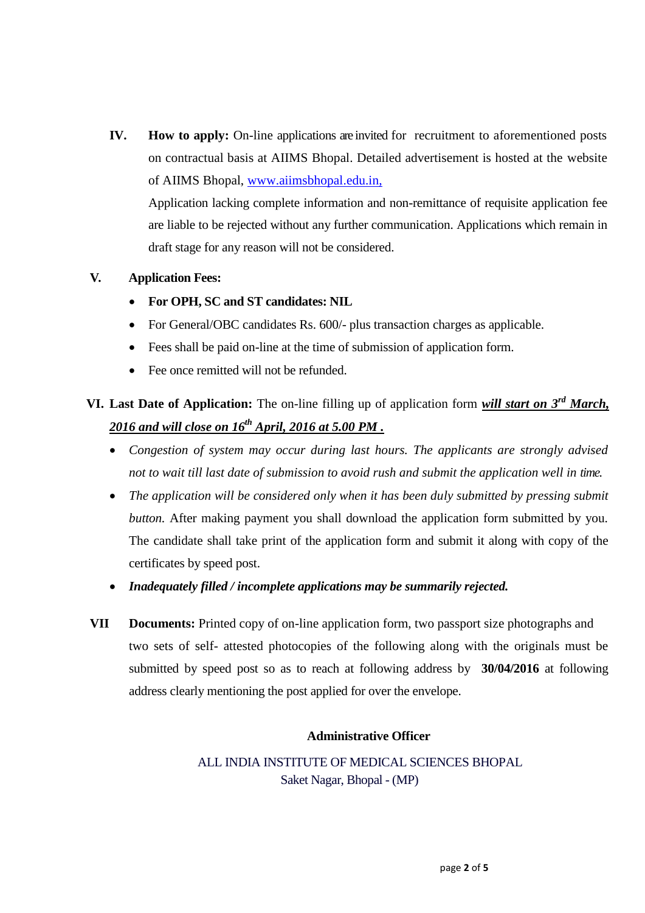**IV.** How to apply: On-line applications are invited for recruitment to aforementioned posts on contractual basis at AIIMS Bhopal. Detailed advertisement is hosted at the website of AIIMS Bhopal, [www.aiimsbhopal.edu.in,](http://www.aiimsbhopal.edu.in,/)

Application lacking complete information and non-remittance of requisite application fee are liable to be rejected without any further communication. Applications which remain in draft stage for any reason will not be considered.

### **V. Application Fees:**

- **For OPH, SC and ST candidates: NIL**
- For General/OBC candidates Rs. 600/- plus transaction charges as applicable.
- Fees shall be paid on-line at the time of submission of application form.
- Fee once remitted will not be refunded.

## **VI. Last Date of Application:** The on-line filling up of application form *will start on 3 rd March, 2016 and will close on 16th April, 2016 at 5.00 PM .*

- *Congestion of system may occur during last hours. The applicants are strongly advised not to wait till last date of submission to avoid rush and submit the application well in time.*
- The application will be considered only when it has been duly submitted by pressing submit *button.* After making payment you shall download the application form submitted by you*.* The candidate shall take print of the application form and submit it along with copy of the certificates by speed post.
- *Inadequately filled / incomplete applications may be summarily rejected.*
- **VII Documents:** Printed copy of on-line application form, two passport size photographs and two sets of self- attested photocopies of the following along with the originals must be submitted by speed post so as to reach at following address by **30/04/2016** at following address clearly mentioning the post applied for over the envelope.

### **Administrative Officer**

ALL INDIA INSTITUTE OF MEDICAL SCIENCES BHOPAL Saket Nagar, Bhopal - (MP)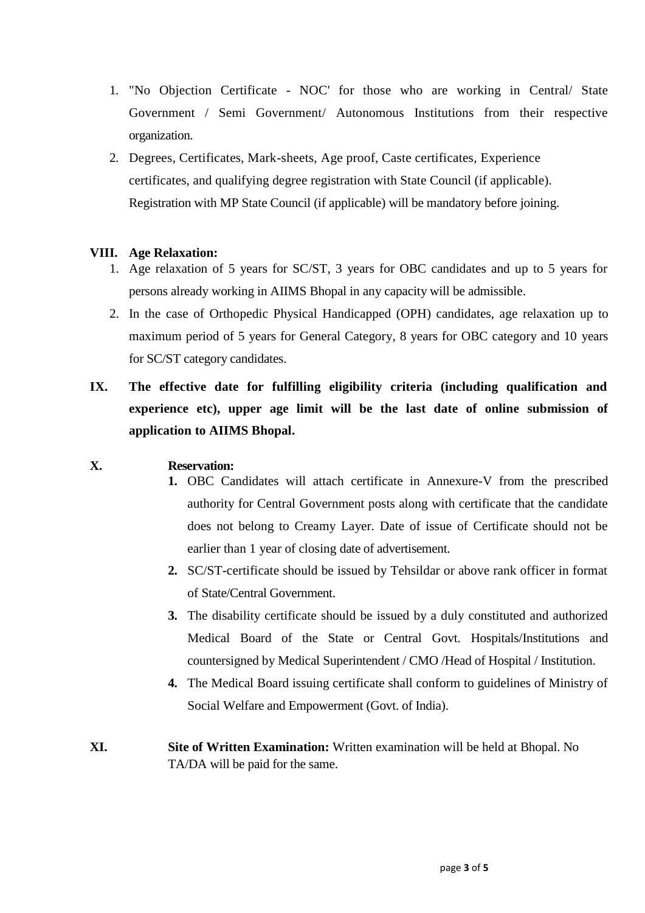- 1. "No Objection Certificate NOC' for those who are working in Central/ State Government / Semi Government/ Autonomous Institutions from their respective organization.
- 2. Degrees, Certificates, Mark-sheets, Age proof, Caste certificates, Experience certificates, and qualifying degree registration with State Council (if applicable). Registration with MP State Council (if applicable) will be mandatory before joining.

### **VIII. Age Relaxation:**

- 1. Age relaxation of 5 years for SC/ST, 3 years for OBC candidates and up to 5 years for persons already working in AIIMS Bhopal in any capacity will be admissible.
- 2. In the case of Orthopedic Physical Handicapped (OPH) candidates, age relaxation up to maximum period of 5 years for General Category, 8 years for OBC category and 10 years for SC/ST category candidates.
- **IX. The effective date for fulfilling eligibility criteria (including qualification and experience etc), upper age limit will be the last date of online submission of application to AIIMS Bhopal.**

#### **X. Reservation:**

- **1.** OBC Candidates will attach certificate in Annexure-V from the prescribed authority for Central Government posts along with certificate that the candidate does not belong to Creamy Layer. Date of issue of Certificate should not be earlier than 1 year of closing date of advertisement.
- **2.** SC/ST-certificate should be issued by Tehsildar or above rank officer in format of State/Central Government.
- **3.** The disability certificate should be issued by a duly constituted and authorized Medical Board of the State or Central Govt. Hospitals/Institutions and countersigned by Medical Superintendent / CMO /Head of Hospital / Institution.
- **4.** The Medical Board issuing certificate shall conform to guidelines of Ministry of Social Welfare and Empowerment (Govt. of India).
- **XI. Site of Written Examination:** Written examination will be held at Bhopal. No TA/DA will be paid for the same.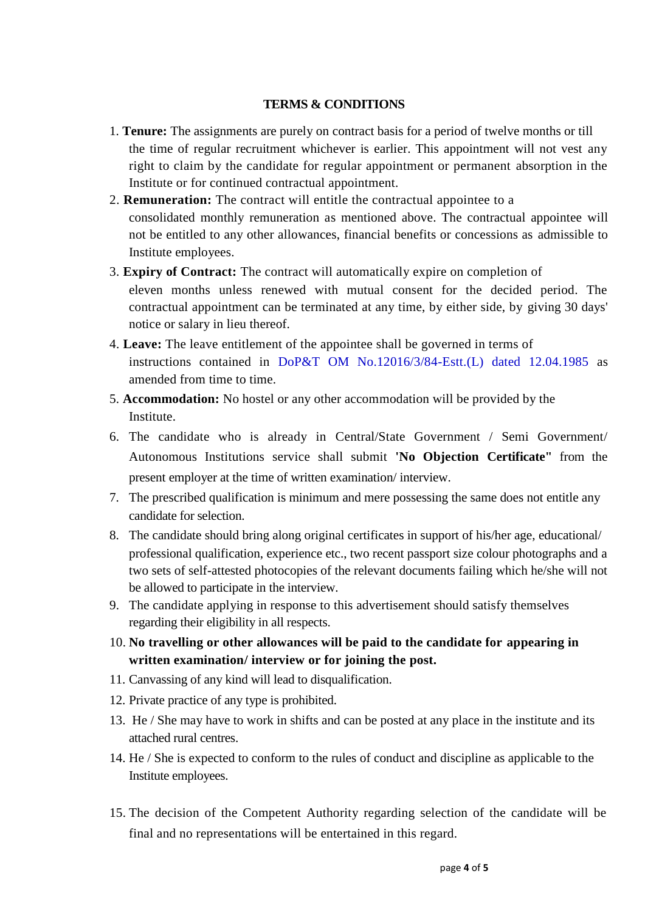### **TERMS & CONDITIONS**

- 1. **Tenure:** The assignments are purely on contract basis for a period of twelve months or till the time of regular recruitment whichever is earlier. This appointment will not vest any right to claim by the candidate for regular appointment or permanent absorption in the Institute or for continued contractual appointment.
- 2. **Remuneration:** The contract will entitle the contractual appointee to a consolidated monthly remuneration as mentioned above. The contractual appointee will not be entitled to any other allowances, financial benefits or concessions as admissible to Institute employees.
- 3. **Expiry of Contract:** The contract will automatically expire on completion of eleven months unless renewed with mutual consent for the decided period. The contractual appointment can be terminated at any time, by either side, by giving 30 days' notice or salary in lieu thereof.
- 4. **Leave:** The leave entitlement of the appointee shall be governed in terms of instructions contained in DoP&T OM No.12016/3/84-Estt.(L) dated 12.04.1985 as amended from time to time.
- 5. **Accommodation:** No hostel or any other accommodation will be provided by the Institute.
- 6. The candidate who is already in Central/State Government / Semi Government/ Autonomous Institutions service shall submit **'No Objection Certificate"** from the present employer at the time of written examination/ interview.
- 7. The prescribed qualification is minimum and mere possessing the same does not entitle any candidate for selection.
- 8. The candidate should bring along original certificates in support of his/her age, educational/ professional qualification, experience etc., two recent passport size colour photographs and a two sets of self-attested photocopies of the relevant documents failing which he/she will not be allowed to participate in the interview.
- 9. The candidate applying in response to this advertisement should satisfy themselves regarding their eligibility in all respects.
- 10. **No travelling or other allowances will be paid to the candidate for appearing in written examination/ interview or for joining the post.**
- 11. Canvassing of any kind will lead to disqualification.
- 12. Private practice of any type is prohibited.
- 13. He / She may have to work in shifts and can be posted at any place in the institute and its attached rural centres.
- 14. He / She is expected to conform to the rules of conduct and discipline as applicable to the Institute employees.
- 15. The decision of the Competent Authority regarding selection of the candidate will be final and no representations will be entertained in this regard.